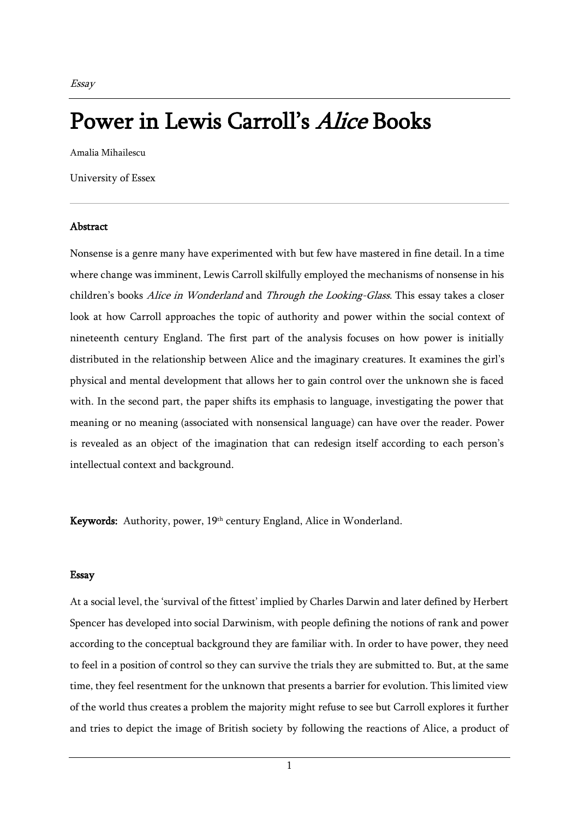## Power in Lewis Carroll's Alice Books

Amalia Mihailescu

University of Essex

## Abstract

Nonsense is a genre many have experimented with but few have mastered in fine detail. In a time where change was imminent, Lewis Carroll skilfully employed the mechanisms of nonsense in his children's books Alice in Wonderland and Through the Looking-Glass. This essay takes a closer look at how Carroll approaches the topic of authority and power within the social context of nineteenth century England. The first part of the analysis focuses on how power is initially distributed in the relationship between Alice and the imaginary creatures. It examines the girl's physical and mental development that allows her to gain control over the unknown she is faced with. In the second part, the paper shifts its emphasis to language, investigating the power that meaning or no meaning (associated with nonsensical language) can have over the reader. Power is revealed as an object of the imagination that can redesign itself according to each person's intellectual context and background.

Keywords: Authority, power, 19th century England, Alice in Wonderland.

## Essay

At a social level, the 'survival of the fittest' implied by Charles Darwin and later defined by Herbert Spencer has developed into social Darwinism, with people defining the notions of rank and power according to the conceptual background they are familiar with. In order to have power, they need to feel in a position of control so they can survive the trials they are submitted to. But, at the same time, they feel resentment for the unknown that presents a barrier for evolution. This limited view of the world thus creates a problem the majority might refuse to see but Carroll explores it further and tries to depict the image of British society by following the reactions of Alice, a product of

1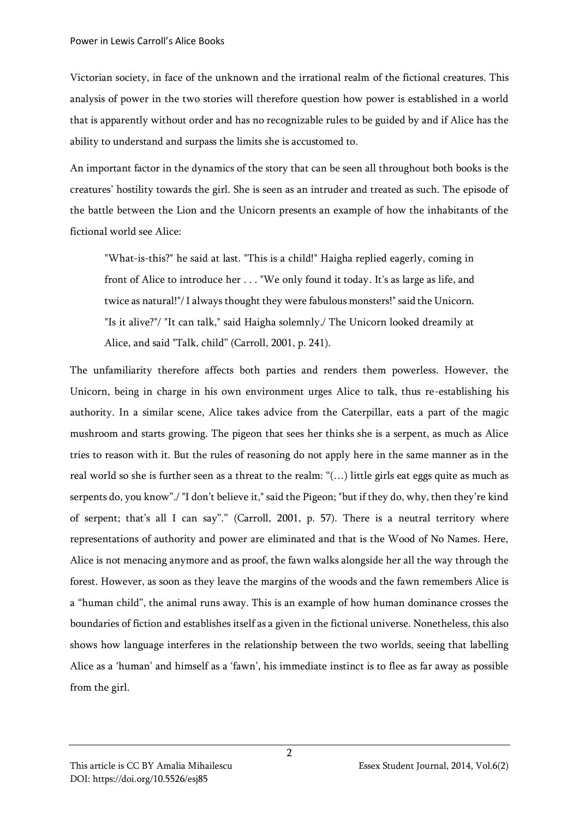Victorian society, in face of the unknown and the irrational realm of the fictional creatures. This analysis of power in the two stories will therefore question how power is established in a world that is apparently without order and has no recognizable rules to be guided by and if Alice has the ability to understand and surpass the limits she is accustomed to.

An important factor in the dynamics of the story that can be seen all throughout both books is the creatures' hostility towards the girl. She is seen as an intruder and treated as such. The episode of the battle between the Lion and the Unicorn presents an example of how the inhabitants of the fictional world see Alice:

"What-is-this?" he said at last. "This is a child!" Haigha replied eagerly, coming in front of Alice to introduce her . . . "We only found it today. It's as large as life, and twice as natural!"/ I always thought they were fabulous monsters!" said the Unicorn. "Is it alive?"/ "It can talk," said Haigha solemnly./ The Unicorn looked dreamily at Alice, and said "Talk, child" (Carroll, 2001, p. 241).

The unfamiliarity therefore affects both parties and renders them powerless. However, the Unicorn, being in charge in his own environment urges Alice to talk, thus re-establishing his authority. In a similar scene, Alice takes advice from the Caterpillar, eats a part of the magic mushroom and starts growing. The pigeon that sees her thinks she is a serpent, as much as Alice tries to reason with it. But the rules of reasoning do not apply here in the same manner as in the real world so she is further seen as a threat to the realm: "(…) little girls eat eggs quite as much as serpents do, you know"./ "I don't believe it," said the Pigeon; "but if they do, why, then they're kind of serpent; that's all I can say"." (Carroll, 2001, p. 57). There is a neutral territory where representations of authority and power are eliminated and that is the Wood of No Names. Here, Alice is not menacing anymore and as proof, the fawn walks alongside her all the way through the forest. However, as soon as they leave the margins of the woods and the fawn remembers Alice is a "human child", the animal runs away. This is an example of how human dominance crosses the boundaries of fiction and establishes itself as a given in the fictional universe. Nonetheless, this also shows how language interferes in the relationship between the two worlds, seeing that labelling Alice as a 'human' and himself as a 'fawn', his immediate instinct is to flee as far away as possible from the girl.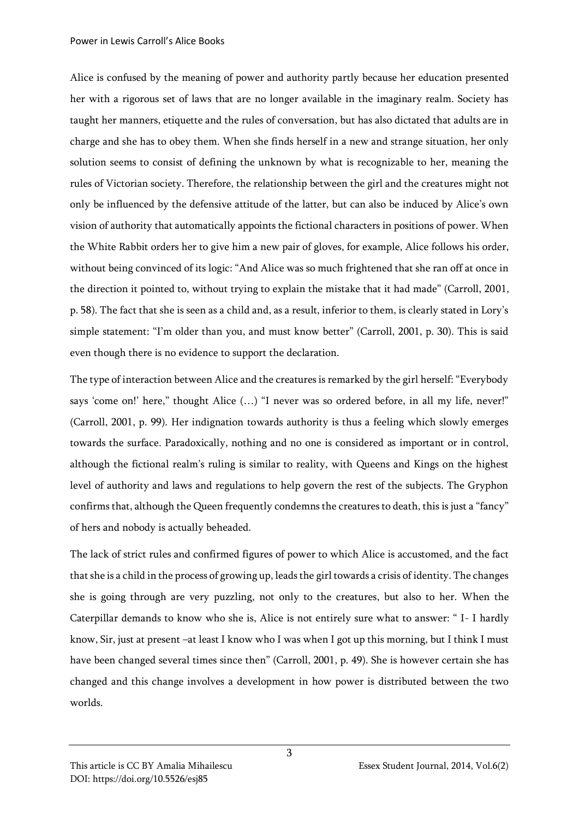Alice is confused by the meaning of power and authority partly because her education presented her with a rigorous set of laws that are no longer available in the imaginary realm. Society has taught her manners, etiquette and the rules of conversation, but has also dictated that adults are in charge and she has to obey them. When she finds herself in a new and strange situation, her only solution seems to consist of defining the unknown by what is recognizable to her, meaning the rules of Victorian society. Therefore, the relationship between the girl and the creatures might not only be influenced by the defensive attitude of the latter, but can also be induced by Alice's own vision of authority that automatically appoints the fictional characters in positions of power. When the White Rabbit orders her to give him a new pair of gloves, for example, Alice follows his order, without being convinced of its logic: "And Alice was so much frightened that she ran off at once in the direction it pointed to, without trying to explain the mistake that it had made" (Carroll, 2001, p. 58). The fact that she is seen as a child and, as a result, inferior to them, is clearly stated in Lory's simple statement: "I'm older than you, and must know better" (Carroll, 2001, p. 30). This is said even though there is no evidence to support the declaration.

The type of interaction between Alice and the creatures is remarked by the girl herself: "Everybody says 'come on!' here," thought Alice (…) "I never was so ordered before, in all my life, never!" (Carroll, 2001, p. 99). Her indignation towards authority is thus a feeling which slowly emerges towards the surface. Paradoxically, nothing and no one is considered as important or in control, although the fictional realm's ruling is similar to reality, with Queens and Kings on the highest level of authority and laws and regulations to help govern the rest of the subjects. The Gryphon confirms that, although the Queen frequently condemns the creatures to death, this is just a "fancy" of hers and nobody is actually beheaded.

The lack of strict rules and confirmed figures of power to which Alice is accustomed, and the fact that she is a child in the process of growing up, leads the girl towards a crisis of identity. The changes she is going through are very puzzling, not only to the creatures, but also to her. When the Caterpillar demands to know who she is, Alice is not entirely sure what to answer: " I- I hardly know, Sir, just at present –at least I know who I was when I got up this morning, but I think I must have been changed several times since then" (Carroll, 2001, p. 49). She is however certain she has changed and this change involves a development in how power is distributed between the two worlds.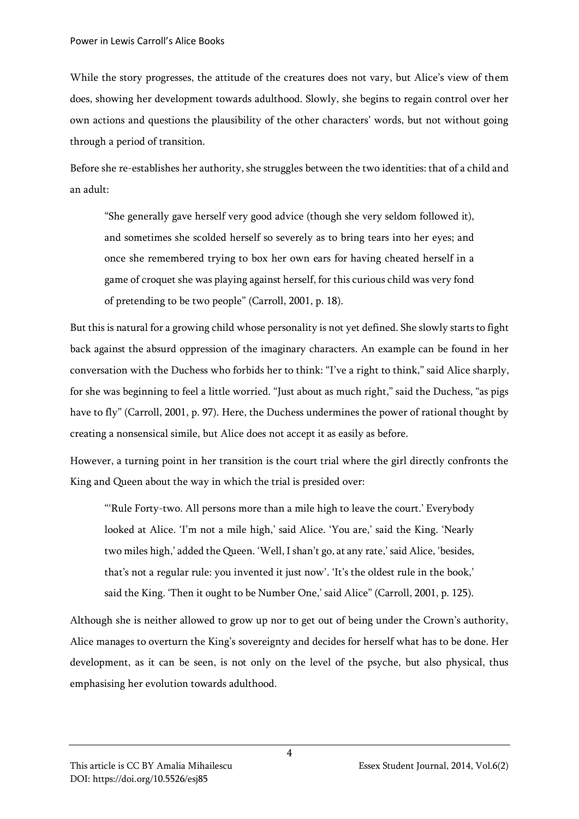While the story progresses, the attitude of the creatures does not vary, but Alice's view of them does, showing her development towards adulthood. Slowly, she begins to regain control over her own actions and questions the plausibility of the other characters' words, but not without going through a period of transition.

Before she re-establishes her authority, she struggles between the two identities: that of a child and an adult:

"She generally gave herself very good advice (though she very seldom followed it), and sometimes she scolded herself so severely as to bring tears into her eyes; and once she remembered trying to box her own ears for having cheated herself in a game of croquet she was playing against herself, for this curious child was very fond of pretending to be two people" (Carroll, 2001, p. 18).

But this is natural for a growing child whose personality is not yet defined. She slowly starts to fight back against the absurd oppression of the imaginary characters. An example can be found in her conversation with the Duchess who forbids her to think: "I've a right to think," said Alice sharply, for she was beginning to feel a little worried. "Just about as much right," said the Duchess, "as pigs have to fly" (Carroll, 2001, p. 97). Here, the Duchess undermines the power of rational thought by creating a nonsensical simile, but Alice does not accept it as easily as before.

However, a turning point in her transition is the court trial where the girl directly confronts the King and Queen about the way in which the trial is presided over:

"'Rule Forty-two. All persons more than a mile high to leave the court.' Everybody looked at Alice. 'I'm not a mile high,' said Alice. 'You are,' said the King. 'Nearly two miles high,' added the Queen. 'Well, I shan't go, at any rate,' said Alice, 'besides, that's not a regular rule: you invented it just now'. 'It's the oldest rule in the book,' said the King. 'Then it ought to be Number One,' said Alice" (Carroll, 2001, p. 125).

Although she is neither allowed to grow up nor to get out of being under the Crown's authority, Alice manages to overturn the King's sovereignty and decides for herself what has to be done. Her development, as it can be seen, is not only on the level of the psyche, but also physical, thus emphasising her evolution towards adulthood.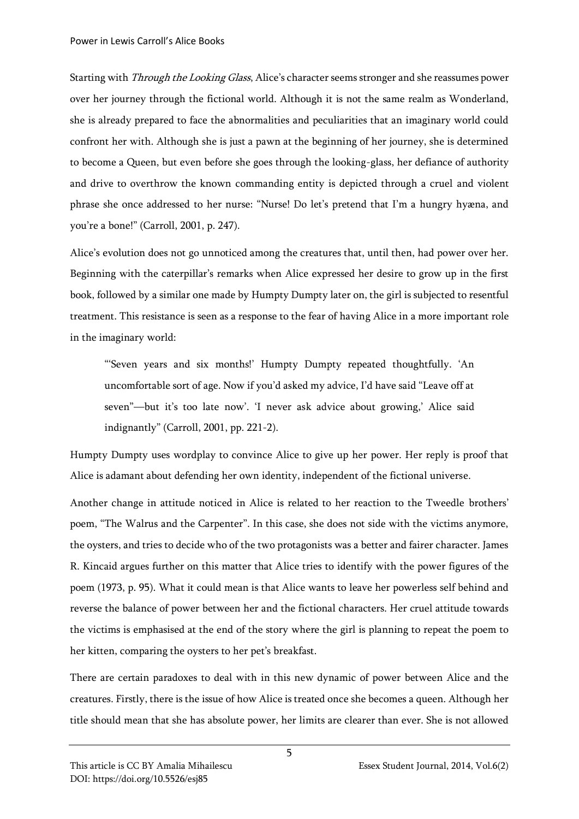Starting with Through the Looking Glass, Alice's character seems stronger and she reassumes power over her journey through the fictional world. Although it is not the same realm as Wonderland, she is already prepared to face the abnormalities and peculiarities that an imaginary world could confront her with. Although she is just a pawn at the beginning of her journey, she is determined to become a Queen, but even before she goes through the looking-glass, her defiance of authority and drive to overthrow the known commanding entity is depicted through a cruel and violent phrase she once addressed to her nurse: "Nurse! Do let's pretend that I'm a hungry hyæna, and you're a bone!" (Carroll, 2001, p. 247).

Alice's evolution does not go unnoticed among the creatures that, until then, had power over her. Beginning with the caterpillar's remarks when Alice expressed her desire to grow up in the first book, followed by a similar one made by Humpty Dumpty later on, the girl is subjected to resentful treatment. This resistance is seen as a response to the fear of having Alice in a more important role in the imaginary world:

"'Seven years and six months!' Humpty Dumpty repeated thoughtfully. 'An uncomfortable sort of age. Now if you'd asked my advice, I'd have said "Leave off at seven"—but it's too late now'. 'I never ask advice about growing,' Alice said indignantly" (Carroll, 2001, pp. 221-2).

Humpty Dumpty uses wordplay to convince Alice to give up her power. Her reply is proof that Alice is adamant about defending her own identity, independent of the fictional universe.

Another change in attitude noticed in Alice is related to her reaction to the Tweedle brothers' poem, "The Walrus and the Carpenter". In this case, she does not side with the victims anymore, the oysters, and tries to decide who of the two protagonists was a better and fairer character. James R. Kincaid argues further on this matter that Alice tries to identify with the power figures of the poem (1973, p. 95). What it could mean is that Alice wants to leave her powerless self behind and reverse the balance of power between her and the fictional characters. Her cruel attitude towards the victims is emphasised at the end of the story where the girl is planning to repeat the poem to her kitten, comparing the oysters to her pet's breakfast.

There are certain paradoxes to deal with in this new dynamic of power between Alice and the creatures. Firstly, there is the issue of how Alice is treated once she becomes a queen. Although her title should mean that she has absolute power, her limits are clearer than ever. She is not allowed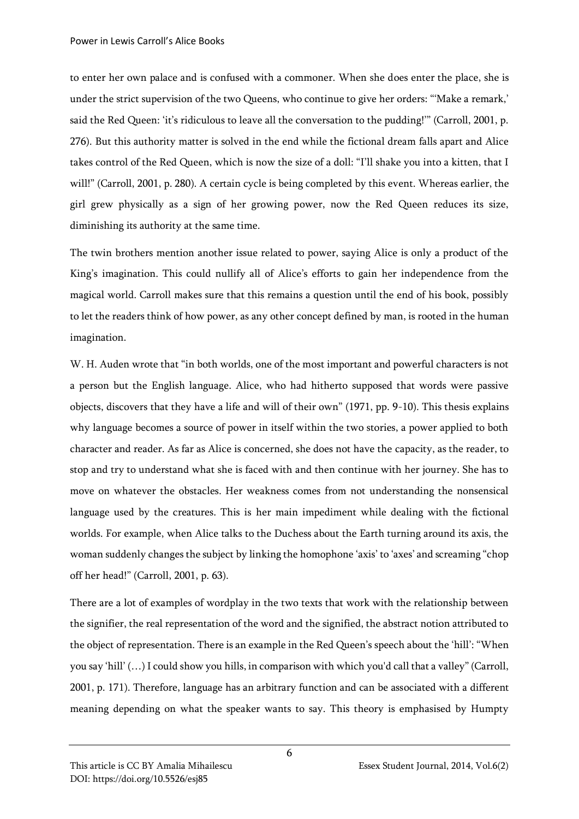to enter her own palace and is confused with a commoner. When she does enter the place, she is under the strict supervision of the two Queens, who continue to give her orders: "'Make a remark,' said the Red Queen: 'it's ridiculous to leave all the conversation to the pudding!'" (Carroll, 2001, p. 276). But this authority matter is solved in the end while the fictional dream falls apart and Alice takes control of the Red Queen, which is now the size of a doll: "I'll shake you into a kitten, that I will!" (Carroll, 2001, p. 280). A certain cycle is being completed by this event. Whereas earlier, the girl grew physically as a sign of her growing power, now the Red Queen reduces its size, diminishing its authority at the same time.

The twin brothers mention another issue related to power, saying Alice is only a product of the King's imagination. This could nullify all of Alice's efforts to gain her independence from the magical world. Carroll makes sure that this remains a question until the end of his book, possibly to let the readers think of how power, as any other concept defined by man, is rooted in the human imagination.

W. H. Auden wrote that "in both worlds, one of the most important and powerful characters is not a person but the English language. Alice, who had hitherto supposed that words were passive objects, discovers that they have a life and will of their own" (1971, pp. 9-10). This thesis explains why language becomes a source of power in itself within the two stories, a power applied to both character and reader. As far as Alice is concerned, she does not have the capacity, as the reader, to stop and try to understand what she is faced with and then continue with her journey. She has to move on whatever the obstacles. Her weakness comes from not understanding the nonsensical language used by the creatures. This is her main impediment while dealing with the fictional worlds. For example, when Alice talks to the Duchess about the Earth turning around its axis, the woman suddenly changes the subject by linking the homophone 'axis' to 'axes' and screaming "chop off her head!" (Carroll, 2001, p. 63).

There are a lot of examples of wordplay in the two texts that work with the relationship between the signifier, the real representation of the word and the signified, the abstract notion attributed to the object of representation. There is an example in the Red Queen's speech about the 'hill': "When you say 'hill' (…) I could show you hills, in comparison with which you'd call that a valley" (Carroll, 2001, p. 171). Therefore, language has an arbitrary function and can be associated with a different meaning depending on what the speaker wants to say. This theory is emphasised by Humpty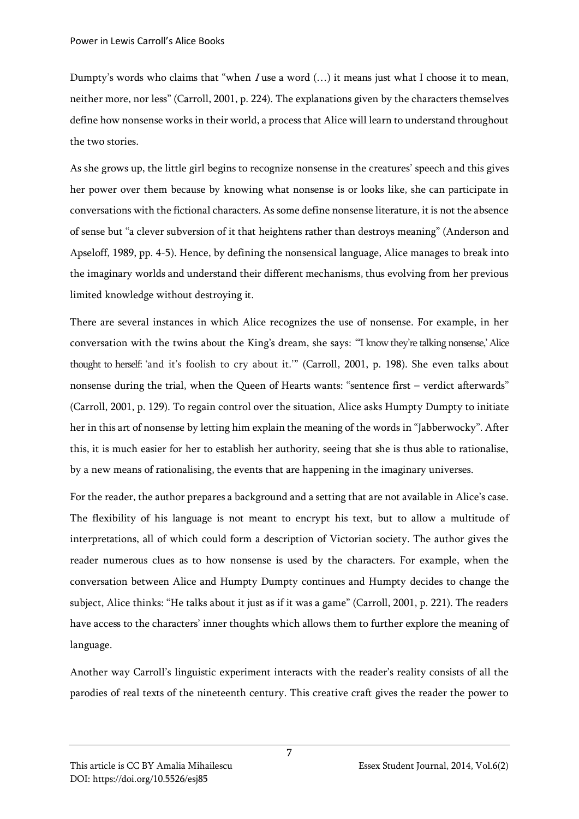Dumpty's words who claims that "when <sup>I</sup> use a word (…) it means just what I choose it to mean, neither more, nor less" (Carroll, 2001, p. 224). The explanations given by the characters themselves define how nonsense works in their world, a process that Alice will learn to understand throughout the two stories.

As she grows up, the little girl begins to recognize nonsense in the creatures' speech and this gives her power over them because by knowing what nonsense is or looks like, she can participate in conversations with the fictional characters. As some define nonsense literature, it is not the absence of sense but "a clever subversion of it that heightens rather than destroys meaning" (Anderson and Apseloff, 1989, pp. 4-5). Hence, by defining the nonsensical language, Alice manages to break into the imaginary worlds and understand their different mechanisms, thus evolving from her previous limited knowledge without destroying it.

There are several instances in which Alice recognizes the use of nonsense. For example, in her conversation with the twins about the King's dream, she says: "'I know they're talking nonsense,' Alice thought to herself: 'and it's foolish to cry about it.'" (Carroll, 2001, p. 198). She even talks about nonsense during the trial, when the Queen of Hearts wants: "sentence first – verdict afterwards" (Carroll, 2001, p. 129). To regain control over the situation, Alice asks Humpty Dumpty to initiate her in this art of nonsense by letting him explain the meaning of the words in "Jabberwocky". After this, it is much easier for her to establish her authority, seeing that she is thus able to rationalise, by a new means of rationalising, the events that are happening in the imaginary universes.

For the reader, the author prepares a background and a setting that are not available in Alice's case. The flexibility of his language is not meant to encrypt his text, but to allow a multitude of interpretations, all of which could form a description of Victorian society. The author gives the reader numerous clues as to how nonsense is used by the characters. For example, when the conversation between Alice and Humpty Dumpty continues and Humpty decides to change the subject, Alice thinks: "He talks about it just as if it was a game" (Carroll, 2001, p. 221). The readers have access to the characters' inner thoughts which allows them to further explore the meaning of language.

Another way Carroll's linguistic experiment interacts with the reader's reality consists of all the parodies of real texts of the nineteenth century. This creative craft gives the reader the power to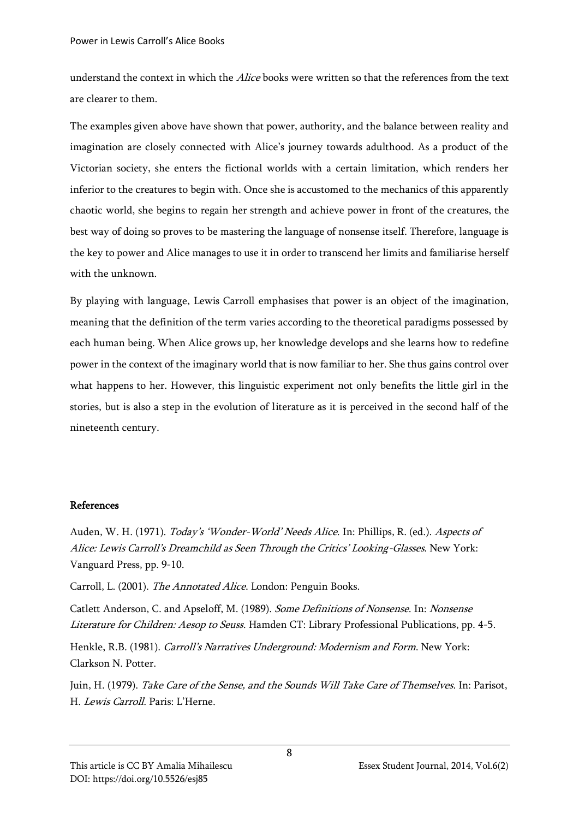understand the context in which the *Alice* books were written so that the references from the text are clearer to them.

The examples given above have shown that power, authority, and the balance between reality and imagination are closely connected with Alice's journey towards adulthood. As a product of the Victorian society, she enters the fictional worlds with a certain limitation, which renders her inferior to the creatures to begin with. Once she is accustomed to the mechanics of this apparently chaotic world, she begins to regain her strength and achieve power in front of the creatures, the best way of doing so proves to be mastering the language of nonsense itself. Therefore, language is the key to power and Alice manages to use it in order to transcend her limits and familiarise herself with the unknown.

By playing with language, Lewis Carroll emphasises that power is an object of the imagination, meaning that the definition of the term varies according to the theoretical paradigms possessed by each human being. When Alice grows up, her knowledge develops and she learns how to redefine power in the context of the imaginary world that is now familiar to her. She thus gains control over what happens to her. However, this linguistic experiment not only benefits the little girl in the stories, but is also a step in the evolution of literature as it is perceived in the second half of the nineteenth century.

## References

Auden, W. H. (1971). *Today's 'Wonder-World' Needs Alice*. In: Phillips, R. (ed.). *Aspects of* Alice: Lewis Carroll's Dreamchild as Seen Through the Critics' Looking-Glasses. New York: Vanguard Press, pp. 9-10.

Carroll, L. (2001). The Annotated Alice. London: Penguin Books.

Catlett Anderson, C. and Apseloff, M. (1989). Some Definitions of Nonsense. In: Nonsense Literature for Children: Aesop to Seuss. Hamden CT: Library Professional Publications, pp. 4-5.

Henkle, R.B. (1981). Carroll's Narratives Underground: Modernism and Form. New York: Clarkson N. Potter.

Juin, H. (1979). Take Care of the Sense, and the Sounds Will Take Care of Themselves. In: Parisot, H. Lewis Carroll. Paris: L'Herne.